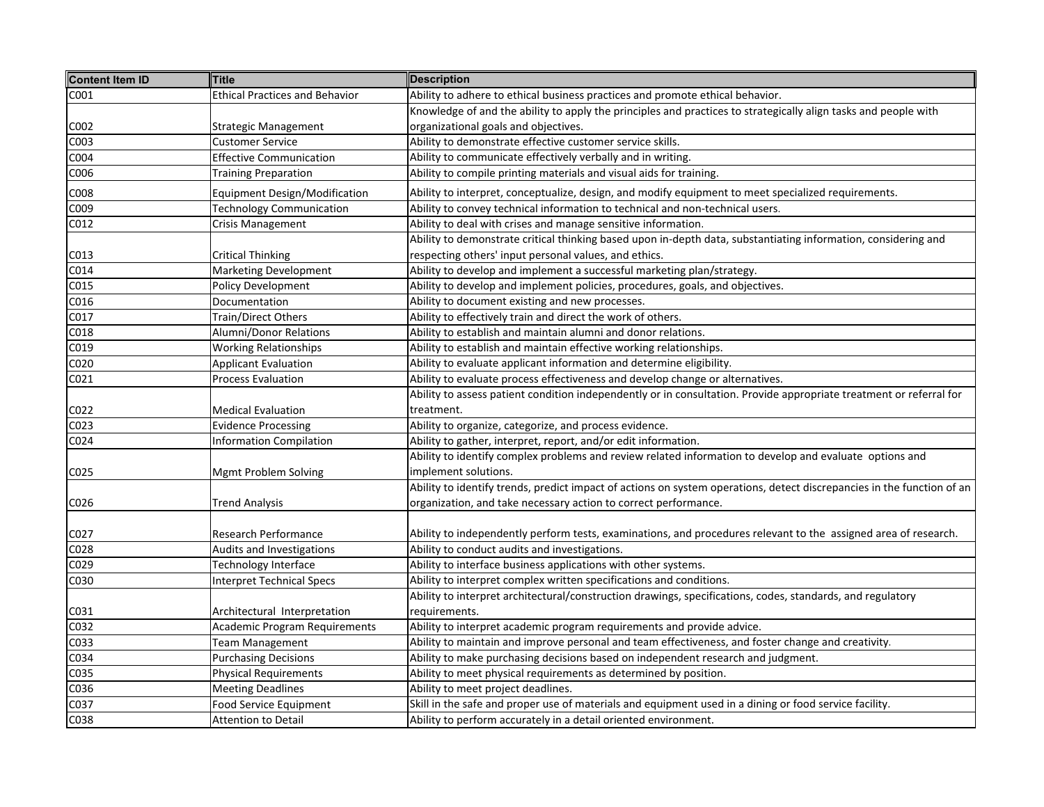| <b>Content Item ID</b> | <b>Title</b>                          | <b>Description</b>                                                                                                     |
|------------------------|---------------------------------------|------------------------------------------------------------------------------------------------------------------------|
| C001                   | <b>Ethical Practices and Behavior</b> | Ability to adhere to ethical business practices and promote ethical behavior.                                          |
|                        |                                       | Knowledge of and the ability to apply the principles and practices to strategically align tasks and people with        |
| C002                   | Strategic Management                  | organizational goals and objectives.                                                                                   |
| C003                   | Customer Service                      | Ability to demonstrate effective customer service skills.                                                              |
| C004                   | <b>Effective Communication</b>        | Ability to communicate effectively verbally and in writing.                                                            |
| C006                   | <b>Training Preparation</b>           | Ability to compile printing materials and visual aids for training.                                                    |
| C008                   | <b>Equipment Design/Modification</b>  | Ability to interpret, conceptualize, design, and modify equipment to meet specialized requirements.                    |
| C009                   | <b>Technology Communication</b>       | Ability to convey technical information to technical and non-technical users.                                          |
| C012                   | Crisis Management                     | Ability to deal with crises and manage sensitive information.                                                          |
|                        |                                       | Ability to demonstrate critical thinking based upon in-depth data, substantiating information, considering and         |
| C013                   | Critical Thinking                     | respecting others' input personal values, and ethics.                                                                  |
| C014                   | <b>Marketing Development</b>          | Ability to develop and implement a successful marketing plan/strategy.                                                 |
| C015                   | Policy Development                    | Ability to develop and implement policies, procedures, goals, and objectives.                                          |
| C016                   | Documentation                         | Ability to document existing and new processes.                                                                        |
| C017                   | Train/Direct Others                   | Ability to effectively train and direct the work of others.                                                            |
| C018                   | Alumni/Donor Relations                | Ability to establish and maintain alumni and donor relations.                                                          |
| C019                   | <b>Working Relationships</b>          | Ability to establish and maintain effective working relationships.                                                     |
| C020                   | <b>Applicant Evaluation</b>           | Ability to evaluate applicant information and determine eligibility.                                                   |
| C021                   | Process Evaluation                    | Ability to evaluate process effectiveness and develop change or alternatives.                                          |
|                        |                                       | Ability to assess patient condition independently or in consultation. Provide appropriate treatment or referral for    |
| C022                   | <b>Medical Evaluation</b>             | treatment.                                                                                                             |
| C023                   | <b>Evidence Processing</b>            | Ability to organize, categorize, and process evidence.                                                                 |
| C024                   | <b>Information Compilation</b>        | Ability to gather, interpret, report, and/or edit information.                                                         |
|                        |                                       | Ability to identify complex problems and review related information to develop and evaluate options and                |
| C025                   | Mgmt Problem Solving                  | implement solutions.                                                                                                   |
|                        |                                       | Ability to identify trends, predict impact of actions on system operations, detect discrepancies in the function of an |
| C026                   | <b>Trend Analysis</b>                 | organization, and take necessary action to correct performance.                                                        |
|                        |                                       |                                                                                                                        |
| C027                   | <b>Research Performance</b>           | Ability to independently perform tests, examinations, and procedures relevant to the assigned area of research.        |
| C028                   | Audits and Investigations             | Ability to conduct audits and investigations.                                                                          |
| C029                   | Technology Interface                  | Ability to interface business applications with other systems.                                                         |
| C030                   | <b>Interpret Technical Specs</b>      | Ability to interpret complex written specifications and conditions.                                                    |
|                        |                                       | Ability to interpret architectural/construction drawings, specifications, codes, standards, and regulatory             |
| C031                   | Architectural Interpretation          | requirements.                                                                                                          |
| C032                   | <b>Academic Program Requirements</b>  | Ability to interpret academic program requirements and provide advice.                                                 |
| C033                   | Team Management                       | Ability to maintain and improve personal and team effectiveness, and foster change and creativity.                     |
| C034                   | <b>Purchasing Decisions</b>           | Ability to make purchasing decisions based on independent research and judgment.                                       |
| C035                   | <b>Physical Requirements</b>          | Ability to meet physical requirements as determined by position.                                                       |
| C036                   | <b>Meeting Deadlines</b>              | Ability to meet project deadlines.                                                                                     |
| C037                   | Food Service Equipment                | Skill in the safe and proper use of materials and equipment used in a dining or food service facility.                 |
| C038                   | <b>Attention to Detail</b>            | Ability to perform accurately in a detail oriented environment.                                                        |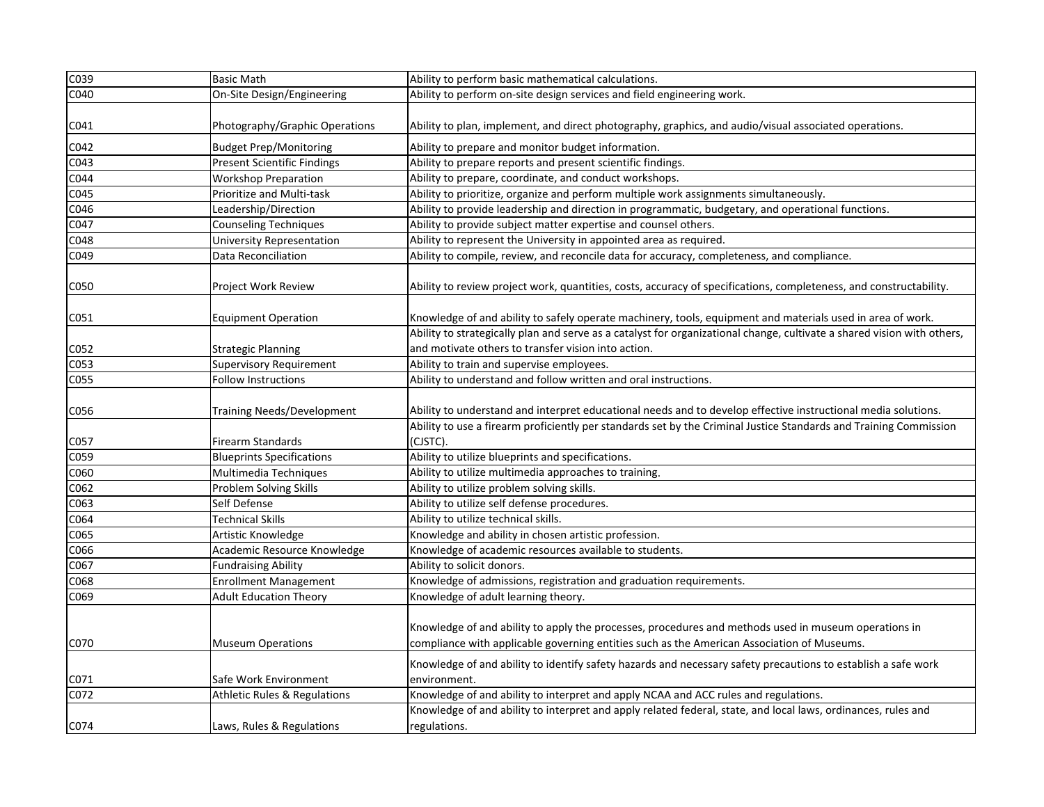| C039             | <b>Basic Math</b>                       | Ability to perform basic mathematical calculations.                                                                                                                                                |
|------------------|-----------------------------------------|----------------------------------------------------------------------------------------------------------------------------------------------------------------------------------------------------|
| C040             | On-Site Design/Engineering              | Ability to perform on-site design services and field engineering work.                                                                                                                             |
| C041             | Photography/Graphic Operations          | Ability to plan, implement, and direct photography, graphics, and audio/visual associated operations.                                                                                              |
| C042             | <b>Budget Prep/Monitoring</b>           | Ability to prepare and monitor budget information.                                                                                                                                                 |
| C043             | <b>Present Scientific Findings</b>      | Ability to prepare reports and present scientific findings.                                                                                                                                        |
| C044             | <b>Workshop Preparation</b>             | Ability to prepare, coordinate, and conduct workshops.                                                                                                                                             |
| C <sub>045</sub> | Prioritize and Multi-task               | Ability to prioritize, organize and perform multiple work assignments simultaneously.                                                                                                              |
| C046             | Leadership/Direction                    | Ability to provide leadership and direction in programmatic, budgetary, and operational functions.                                                                                                 |
| C047             | <b>Counseling Techniques</b>            | Ability to provide subject matter expertise and counsel others.                                                                                                                                    |
| C048             | <b>University Representation</b>        | Ability to represent the University in appointed area as required.                                                                                                                                 |
| C049             | Data Reconciliation                     | Ability to compile, review, and reconcile data for accuracy, completeness, and compliance.                                                                                                         |
| C050             | Project Work Review                     | Ability to review project work, quantities, costs, accuracy of specifications, completeness, and constructability.                                                                                 |
| C051             | <b>Equipment Operation</b>              | Knowledge of and ability to safely operate machinery, tools, equipment and materials used in area of work.                                                                                         |
|                  |                                         | Ability to strategically plan and serve as a catalyst for organizational change, cultivate a shared vision with others,                                                                            |
| C052             | <b>Strategic Planning</b>               | and motivate others to transfer vision into action.                                                                                                                                                |
| C053             | <b>Supervisory Requirement</b>          | Ability to train and supervise employees.                                                                                                                                                          |
| C055             | Follow Instructions                     | Ability to understand and follow written and oral instructions.                                                                                                                                    |
| C056             | Training Needs/Development              | Ability to understand and interpret educational needs and to develop effective instructional media solutions.                                                                                      |
| C057             | <b>Firearm Standards</b>                | Ability to use a firearm proficiently per standards set by the Criminal Justice Standards and Training Commission<br>(CJSTC).                                                                      |
| C059             | <b>Blueprints Specifications</b>        | Ability to utilize blueprints and specifications.                                                                                                                                                  |
| C060             | Multimedia Techniques                   | Ability to utilize multimedia approaches to training.                                                                                                                                              |
| C062             | Problem Solving Skills                  | Ability to utilize problem solving skills.                                                                                                                                                         |
| C063             | Self Defense                            | Ability to utilize self defense procedures.                                                                                                                                                        |
| C064             | <b>Technical Skills</b>                 | Ability to utilize technical skills.                                                                                                                                                               |
| C065             | Artistic Knowledge                      | Knowledge and ability in chosen artistic profession.                                                                                                                                               |
| C066             | Academic Resource Knowledge             | Knowledge of academic resources available to students.                                                                                                                                             |
| C067             | <b>Fundraising Ability</b>              | Ability to solicit donors.                                                                                                                                                                         |
| C068             | <b>Enrollment Management</b>            | Knowledge of admissions, registration and graduation requirements.                                                                                                                                 |
| C069             | <b>Adult Education Theory</b>           | Knowledge of adult learning theory.                                                                                                                                                                |
|                  |                                         | Knowledge of and ability to apply the processes, procedures and methods used in museum operations in<br>compliance with applicable governing entities such as the American Association of Museums. |
| C070             | <b>Museum Operations</b>                |                                                                                                                                                                                                    |
| C071             | Safe Work Environment                   | Knowledge of and ability to identify safety hazards and necessary safety precautions to establish a safe work<br>environment.                                                                      |
| C072             | <b>Athletic Rules &amp; Regulations</b> | Knowledge of and ability to interpret and apply NCAA and ACC rules and regulations.                                                                                                                |
| C074             | Laws, Rules & Regulations               | Knowledge of and ability to interpret and apply related federal, state, and local laws, ordinances, rules and<br>regulations.                                                                      |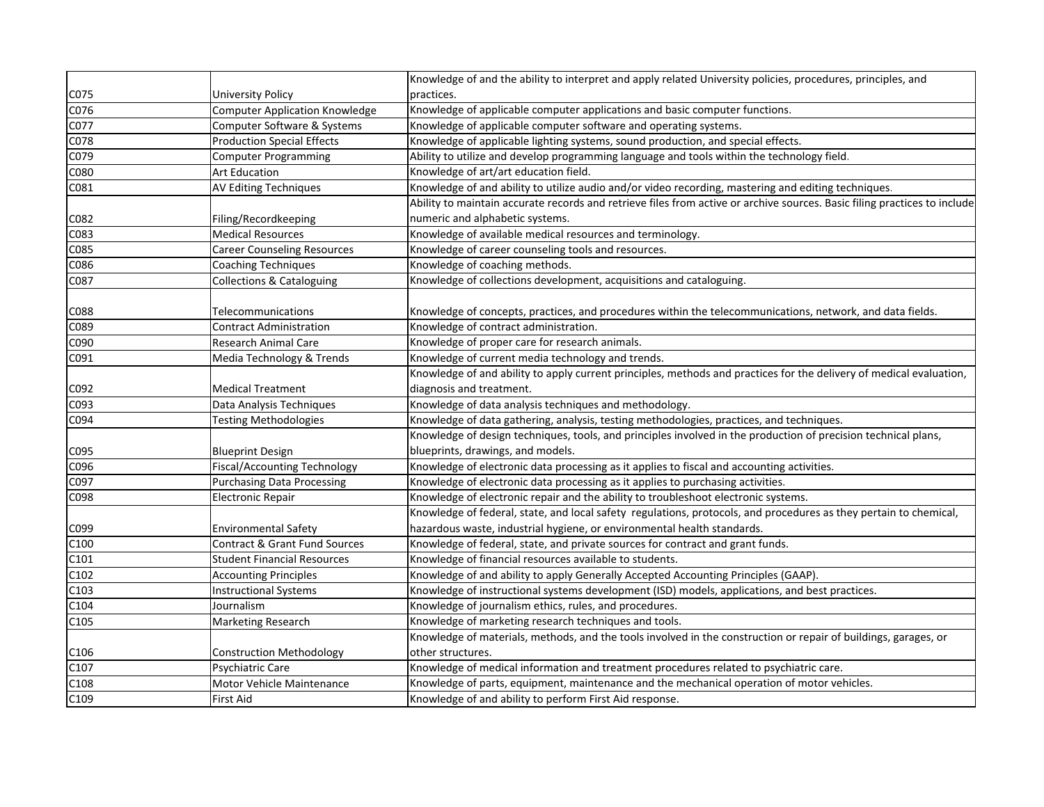|      |                                          | Knowledge of and the ability to interpret and apply related University policies, procedures, principles, and              |
|------|------------------------------------------|---------------------------------------------------------------------------------------------------------------------------|
| C075 | University Policy                        | practices.                                                                                                                |
| C076 | <b>Computer Application Knowledge</b>    | Knowledge of applicable computer applications and basic computer functions.                                               |
| C077 | Computer Software & Systems              | Knowledge of applicable computer software and operating systems.                                                          |
| C078 | <b>Production Special Effects</b>        | Knowledge of applicable lighting systems, sound production, and special effects.                                          |
| C079 | <b>Computer Programming</b>              | Ability to utilize and develop programming language and tools within the technology field.                                |
| C080 | <b>Art Education</b>                     | Knowledge of art/art education field.                                                                                     |
| C081 | <b>AV Editing Techniques</b>             | Knowledge of and ability to utilize audio and/or video recording, mastering and editing techniques.                       |
|      |                                          | Ability to maintain accurate records and retrieve files from active or archive sources. Basic filing practices to include |
| C082 | Filing/Recordkeeping                     | numeric and alphabetic systems.                                                                                           |
| C083 | <b>Medical Resources</b>                 | Knowledge of available medical resources and terminology.                                                                 |
| C085 | <b>Career Counseling Resources</b>       | Knowledge of career counseling tools and resources.                                                                       |
| C086 | <b>Coaching Techniques</b>               | Knowledge of coaching methods.                                                                                            |
| C087 | <b>Collections &amp; Cataloguing</b>     | Knowledge of collections development, acquisitions and cataloguing.                                                       |
|      |                                          |                                                                                                                           |
| C088 | Telecommunications                       | Knowledge of concepts, practices, and procedures within the telecommunications, network, and data fields.                 |
| C089 | Contract Administration                  | Knowledge of contract administration.                                                                                     |
| C090 | Research Animal Care                     | Knowledge of proper care for research animals.                                                                            |
| C091 | Media Technology & Trends                | Knowledge of current media technology and trends.                                                                         |
|      |                                          | Knowledge of and ability to apply current principles, methods and practices for the delivery of medical evaluation,       |
| C092 | <b>Medical Treatment</b>                 | diagnosis and treatment.                                                                                                  |
| C093 | Data Analysis Techniques                 | Knowledge of data analysis techniques and methodology.                                                                    |
| C094 | <b>Testing Methodologies</b>             | Knowledge of data gathering, analysis, testing methodologies, practices, and techniques.                                  |
|      |                                          | Knowledge of design techniques, tools, and principles involved in the production of precision technical plans,            |
| C095 | <b>Blueprint Design</b>                  | blueprints, drawings, and models.                                                                                         |
| C096 | <b>Fiscal/Accounting Technology</b>      | Knowledge of electronic data processing as it applies to fiscal and accounting activities.                                |
| C097 | <b>Purchasing Data Processing</b>        | Knowledge of electronic data processing as it applies to purchasing activities.                                           |
| C098 | <b>Electronic Repair</b>                 | Knowledge of electronic repair and the ability to troubleshoot electronic systems.                                        |
|      |                                          | Knowledge of federal, state, and local safety regulations, protocols, and procedures as they pertain to chemical,         |
| C099 | <b>Environmental Safety</b>              | hazardous waste, industrial hygiene, or environmental health standards.                                                   |
| C100 | <b>Contract &amp; Grant Fund Sources</b> | Knowledge of federal, state, and private sources for contract and grant funds.                                            |
| C101 | <b>Student Financial Resources</b>       | Knowledge of financial resources available to students.                                                                   |
| C102 | <b>Accounting Principles</b>             | Knowledge of and ability to apply Generally Accepted Accounting Principles (GAAP).                                        |
| C103 | <b>Instructional Systems</b>             | Knowledge of instructional systems development (ISD) models, applications, and best practices.                            |
| C104 | Journalism                               | Knowledge of journalism ethics, rules, and procedures.                                                                    |
| C105 | <b>Marketing Research</b>                | Knowledge of marketing research techniques and tools.                                                                     |
|      |                                          | Knowledge of materials, methods, and the tools involved in the construction or repair of buildings, garages, or           |
| C106 | <b>Construction Methodology</b>          | other structures.                                                                                                         |
| C107 | Psychiatric Care                         | Knowledge of medical information and treatment procedures related to psychiatric care.                                    |
| C108 | Motor Vehicle Maintenance                | Knowledge of parts, equipment, maintenance and the mechanical operation of motor vehicles.                                |
| C109 | First Aid                                | Knowledge of and ability to perform First Aid response.                                                                   |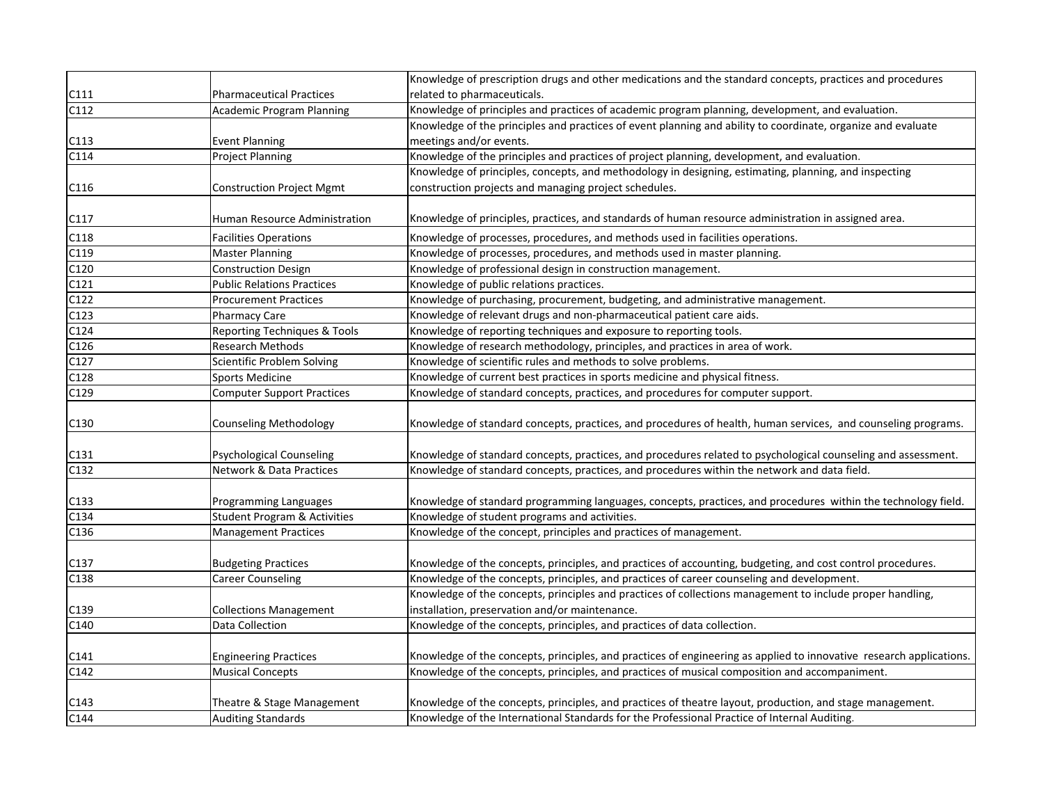|      |                                         | Knowledge of prescription drugs and other medications and the standard concepts, practices and procedures           |
|------|-----------------------------------------|---------------------------------------------------------------------------------------------------------------------|
| C111 | <b>Pharmaceutical Practices</b>         | related to pharmaceuticals.                                                                                         |
| C112 | <b>Academic Program Planning</b>        | Knowledge of principles and practices of academic program planning, development, and evaluation.                    |
|      |                                         | Knowledge of the principles and practices of event planning and ability to coordinate, organize and evaluate        |
| C113 | <b>Event Planning</b>                   | meetings and/or events.                                                                                             |
| C114 | <b>Project Planning</b>                 | Knowledge of the principles and practices of project planning, development, and evaluation.                         |
|      |                                         | Knowledge of principles, concepts, and methodology in designing, estimating, planning, and inspecting               |
| C116 | Construction Project Mgmt               | construction projects and managing project schedules.                                                               |
|      |                                         |                                                                                                                     |
| C117 | Human Resource Administration           | Knowledge of principles, practices, and standards of human resource administration in assigned area.                |
| C118 | <b>Facilities Operations</b>            | Knowledge of processes, procedures, and methods used in facilities operations.                                      |
| C119 | <b>Master Planning</b>                  | Knowledge of processes, procedures, and methods used in master planning.                                            |
| C120 | <b>Construction Design</b>              | Knowledge of professional design in construction management.                                                        |
| C121 | <b>Public Relations Practices</b>       | Knowledge of public relations practices.                                                                            |
| C122 | <b>Procurement Practices</b>            | Knowledge of purchasing, procurement, budgeting, and administrative management.                                     |
| C123 | Pharmacy Care                           | Knowledge of relevant drugs and non-pharmaceutical patient care aids.                                               |
| C124 | <b>Reporting Techniques &amp; Tools</b> | Knowledge of reporting techniques and exposure to reporting tools.                                                  |
| C126 | Research Methods                        | Knowledge of research methodology, principles, and practices in area of work.                                       |
| C127 | Scientific Problem Solving              | Knowledge of scientific rules and methods to solve problems.                                                        |
| C128 | Sports Medicine                         | Knowledge of current best practices in sports medicine and physical fitness.                                        |
| C129 | <b>Computer Support Practices</b>       | Knowledge of standard concepts, practices, and procedures for computer support.                                     |
| C130 | Counseling Methodology                  | Knowledge of standard concepts, practices, and procedures of health, human services, and counseling programs.       |
| C131 | <b>Psychological Counseling</b>         | Knowledge of standard concepts, practices, and procedures related to psychological counseling and assessment.       |
| C132 | <b>Network &amp; Data Practices</b>     | Knowledge of standard concepts, practices, and procedures within the network and data field.                        |
| C133 | Programming Languages                   | Knowledge of standard programming languages, concepts, practices, and procedures within the technology field.       |
| C134 | <b>Student Program &amp; Activities</b> | Knowledge of student programs and activities.                                                                       |
| C136 | <b>Management Practices</b>             | Knowledge of the concept, principles and practices of management.                                                   |
|      |                                         |                                                                                                                     |
| C137 | <b>Budgeting Practices</b>              | Knowledge of the concepts, principles, and practices of accounting, budgeting, and cost control procedures.         |
| C138 | Career Counseling                       | Knowledge of the concepts, principles, and practices of career counseling and development.                          |
|      |                                         | Knowledge of the concepts, principles and practices of collections management to include proper handling,           |
| C139 | <b>Collections Management</b>           | installation, preservation and/or maintenance.                                                                      |
| C140 | Data Collection                         | Knowledge of the concepts, principles, and practices of data collection.                                            |
|      |                                         |                                                                                                                     |
| C141 | <b>Engineering Practices</b>            | Knowledge of the concepts, principles, and practices of engineering as applied to innovative research applications. |
| C142 | <b>Musical Concepts</b>                 | Knowledge of the concepts, principles, and practices of musical composition and accompaniment.                      |
|      |                                         |                                                                                                                     |
| C143 | Theatre & Stage Management              | Knowledge of the concepts, principles, and practices of theatre layout, production, and stage management.           |
| C144 | <b>Auditing Standards</b>               | Knowledge of the International Standards for the Professional Practice of Internal Auditing.                        |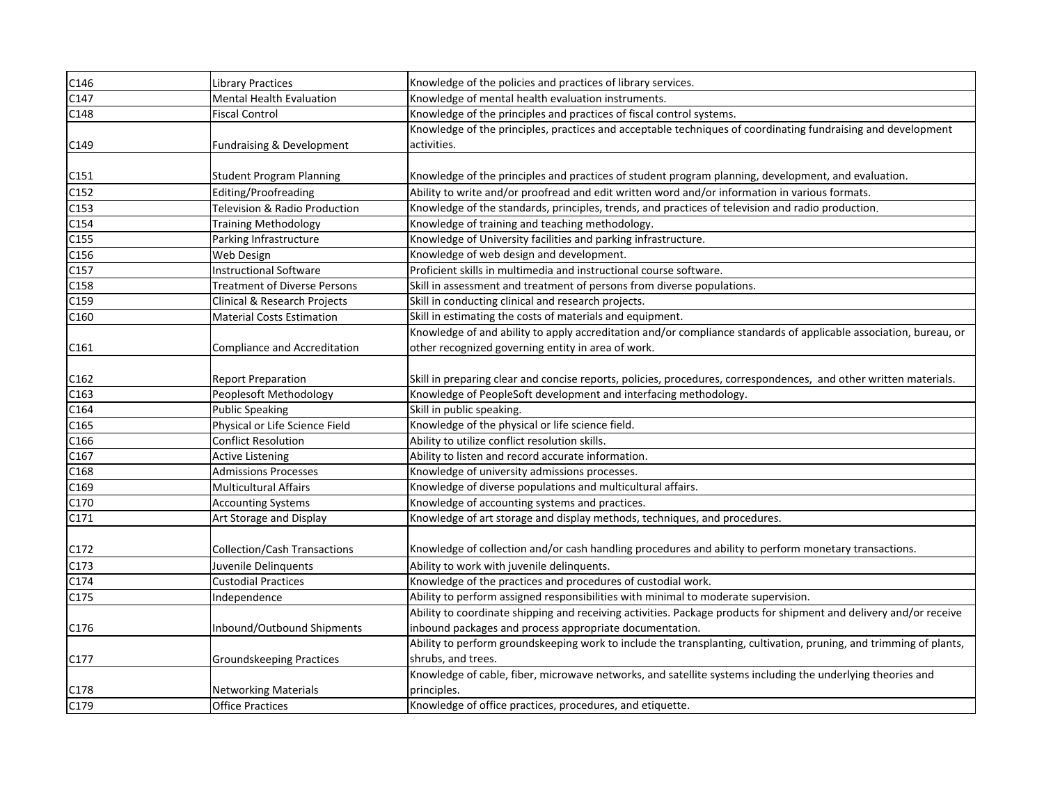| C146              | <b>Library Practices</b>            | Knowledge of the policies and practices of library services.                                                       |
|-------------------|-------------------------------------|--------------------------------------------------------------------------------------------------------------------|
| C147              | <b>Mental Health Evaluation</b>     | Knowledge of mental health evaluation instruments.                                                                 |
| C148              | <b>Fiscal Control</b>               | Knowledge of the principles and practices of fiscal control systems.                                               |
|                   |                                     | Knowledge of the principles, practices and acceptable techniques of coordinating fundraising and development       |
| C149              | Fundraising & Development           | activities.                                                                                                        |
|                   |                                     |                                                                                                                    |
| C151              | <b>Student Program Planning</b>     | Knowledge of the principles and practices of student program planning, development, and evaluation.                |
| C152              | Editing/Proofreading                | Ability to write and/or proofread and edit written word and/or information in various formats.                     |
| C153              | Television & Radio Production       | Knowledge of the standards, principles, trends, and practices of television and radio production.                  |
| $\overline{C154}$ | <b>Training Methodology</b>         | Knowledge of training and teaching methodology.                                                                    |
| C155              | Parking Infrastructure              | Knowledge of University facilities and parking infrastructure.                                                     |
| C156              | Web Design                          | Knowledge of web design and development.                                                                           |
| C157              | <b>Instructional Software</b>       | Proficient skills in multimedia and instructional course software.                                                 |
| C158              | <b>Treatment of Diverse Persons</b> | Skill in assessment and treatment of persons from diverse populations.                                             |
| C159              | Clinical & Research Projects        | Skill in conducting clinical and research projects.                                                                |
| C160              | <b>Material Costs Estimation</b>    | Skill in estimating the costs of materials and equipment.                                                          |
|                   |                                     | Knowledge of and ability to apply accreditation and/or compliance standards of applicable association, bureau, or  |
| C161              | Compliance and Accreditation        | other recognized governing entity in area of work.                                                                 |
|                   |                                     |                                                                                                                    |
| C162              | <b>Report Preparation</b>           | Skill in preparing clear and concise reports, policies, procedures, correspondences, and other written materials.  |
| C163              | Peoplesoft Methodology              | Knowledge of PeopleSoft development and interfacing methodology.                                                   |
| C164              | <b>Public Speaking</b>              | Skill in public speaking.                                                                                          |
| C165              | Physical or Life Science Field      | Knowledge of the physical or life science field.                                                                   |
| C166              | <b>Conflict Resolution</b>          | Ability to utilize conflict resolution skills.                                                                     |
| C167              | <b>Active Listening</b>             | Ability to listen and record accurate information.                                                                 |
| C168              | <b>Admissions Processes</b>         | Knowledge of university admissions processes.                                                                      |
| C169              | <b>Multicultural Affairs</b>        | Knowledge of diverse populations and multicultural affairs.                                                        |
| C170              | <b>Accounting Systems</b>           | Knowledge of accounting systems and practices.                                                                     |
| C171              | Art Storage and Display             | Knowledge of art storage and display methods, techniques, and procedures.                                          |
|                   |                                     |                                                                                                                    |
| C172              | <b>Collection/Cash Transactions</b> | Knowledge of collection and/or cash handling procedures and ability to perform monetary transactions.              |
| C173              | Juvenile Delinquents                | Ability to work with juvenile delinquents.                                                                         |
| C174              | <b>Custodial Practices</b>          | Knowledge of the practices and procedures of custodial work.                                                       |
| C175              | Independence                        | Ability to perform assigned responsibilities with minimal to moderate supervision.                                 |
|                   |                                     | Ability to coordinate shipping and receiving activities. Package products for shipment and delivery and/or receive |
| C176              | Inbound/Outbound Shipments          | inbound packages and process appropriate documentation.                                                            |
|                   |                                     | Ability to perform groundskeeping work to include the transplanting, cultivation, pruning, and trimming of plants, |
| C177              | <b>Groundskeeping Practices</b>     | shrubs, and trees.                                                                                                 |
|                   |                                     | Knowledge of cable, fiber, microwave networks, and satellite systems including the underlying theories and         |
| C178              | <b>Networking Materials</b>         | principles.                                                                                                        |
| C179              | <b>Office Practices</b>             | Knowledge of office practices, procedures, and etiquette.                                                          |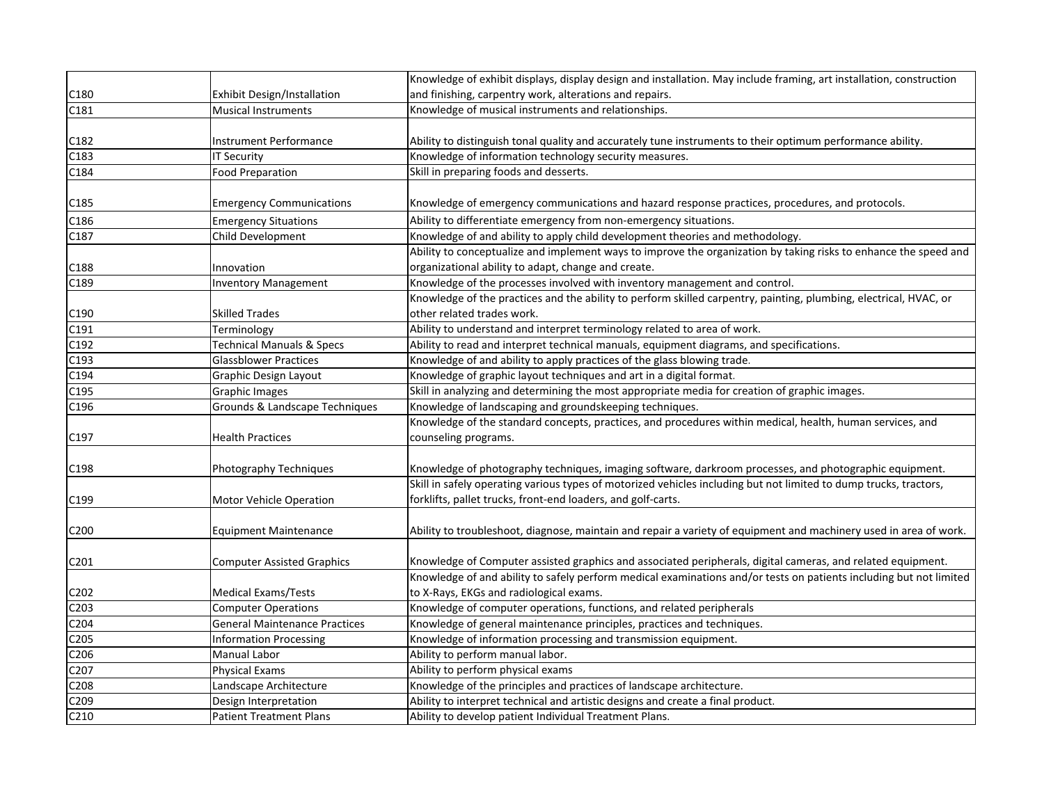|                   |                                      | Knowledge of exhibit displays, display design and installation. May include framing, art installation, construction |
|-------------------|--------------------------------------|---------------------------------------------------------------------------------------------------------------------|
| C <sub>180</sub>  | Exhibit Design/Installation          | and finishing, carpentry work, alterations and repairs.                                                             |
| C181              | Musical Instruments                  | Knowledge of musical instruments and relationships.                                                                 |
|                   |                                      |                                                                                                                     |
| C182              | Instrument Performance               | Ability to distinguish tonal quality and accurately tune instruments to their optimum performance ability.          |
| C183              | IT Security                          | Knowledge of information technology security measures.                                                              |
| C184              | <b>Food Preparation</b>              | Skill in preparing foods and desserts.                                                                              |
|                   |                                      |                                                                                                                     |
| C185              | <b>Emergency Communications</b>      | Knowledge of emergency communications and hazard response practices, procedures, and protocols.                     |
| C186              | <b>Emergency Situations</b>          | Ability to differentiate emergency from non-emergency situations.                                                   |
| C187              | Child Development                    | Knowledge of and ability to apply child development theories and methodology.                                       |
|                   |                                      | Ability to conceptualize and implement ways to improve the organization by taking risks to enhance the speed and    |
| C188              | Innovation                           | organizational ability to adapt, change and create.                                                                 |
| C189              | <b>Inventory Management</b>          | Knowledge of the processes involved with inventory management and control.                                          |
|                   |                                      | Knowledge of the practices and the ability to perform skilled carpentry, painting, plumbing, electrical, HVAC, or   |
| C190              | Skilled Trades                       | other related trades work.                                                                                          |
| C191              | Terminology                          | Ability to understand and interpret terminology related to area of work.                                            |
| C192              | <b>Technical Manuals &amp; Specs</b> | Ability to read and interpret technical manuals, equipment diagrams, and specifications.                            |
| C193              | Glassblower Practices                | Knowledge of and ability to apply practices of the glass blowing trade.                                             |
| C194              | Graphic Design Layout                | Knowledge of graphic layout techniques and art in a digital format.                                                 |
| C195              | Graphic Images                       | Skill in analyzing and determining the most appropriate media for creation of graphic images.                       |
| C196              | Grounds & Landscape Techniques       | Knowledge of landscaping and groundskeeping techniques.                                                             |
|                   |                                      | Knowledge of the standard concepts, practices, and procedures within medical, health, human services, and           |
| C197              | <b>Health Practices</b>              | counseling programs.                                                                                                |
|                   |                                      |                                                                                                                     |
| C198              | Photography Techniques               | Knowledge of photography techniques, imaging software, darkroom processes, and photographic equipment.              |
|                   |                                      | Skill in safely operating various types of motorized vehicles including but not limited to dump trucks, tractors,   |
| C <sub>199</sub>  | <b>Motor Vehicle Operation</b>       | forklifts, pallet trucks, front-end loaders, and golf-carts.                                                        |
|                   |                                      |                                                                                                                     |
| C <sub>2</sub> 00 | <b>Equipment Maintenance</b>         | Ability to troubleshoot, diagnose, maintain and repair a variety of equipment and machinery used in area of work.   |
|                   |                                      |                                                                                                                     |
| C201              | Computer Assisted Graphics           | Knowledge of Computer assisted graphics and associated peripherals, digital cameras, and related equipment.         |
|                   |                                      | Knowledge of and ability to safely perform medical examinations and/or tests on patients including but not limited  |
| C202              | Medical Exams/Tests                  | to X-Rays, EKGs and radiological exams.                                                                             |
| C203              | <b>Computer Operations</b>           | Knowledge of computer operations, functions, and related peripherals                                                |
| C204              | <b>General Maintenance Practices</b> | Knowledge of general maintenance principles, practices and techniques.                                              |
| C205              | <b>Information Processing</b>        | Knowledge of information processing and transmission equipment.                                                     |
| C206              | Manual Labor                         | Ability to perform manual labor.                                                                                    |
| C207              | Physical Exams                       | Ability to perform physical exams                                                                                   |
| C208              | Landscape Architecture               | Knowledge of the principles and practices of landscape architecture.                                                |
| C209              | Design Interpretation                | Ability to interpret technical and artistic designs and create a final product.                                     |
| C210              | <b>Patient Treatment Plans</b>       | Ability to develop patient Individual Treatment Plans.                                                              |